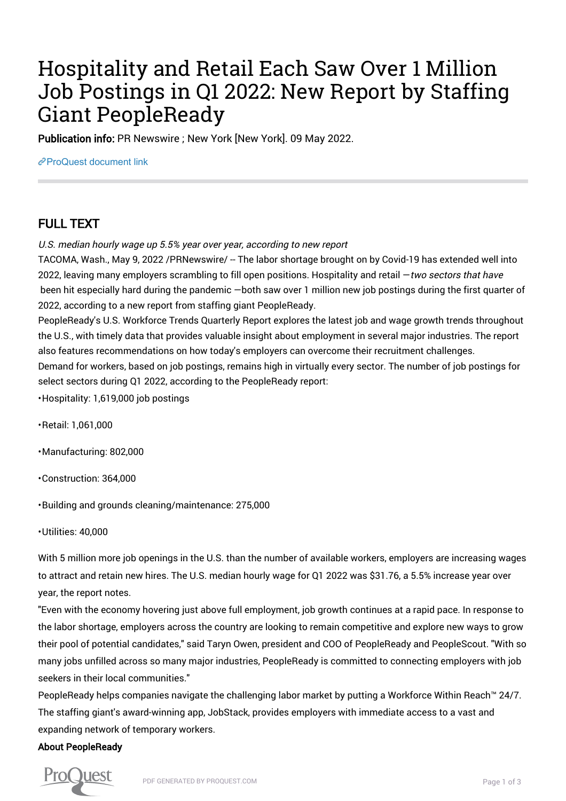# Hospitality and Retail Each Saw Over 1 Million Job Postings in Q1 2022: New Report by Staffing Giant PeopleReady

Publication info: PR Newswire ; New York [New York]. 09 May 2022.

[ProQuest document link](https://www.proquest.com/wire-feeds/hospitality-retail-each-saw-over-1-million-job/docview/2661116848/se-2?accountid=44910)

## FULL TEXT

U.S. median hourly wage up 5.5% year over year, according to new report

TACOMA, Wash., May 9, 2022 /PRNewswire/ -- The labor shortage brought on by Covid-19 has extended well into 2022, leaving many employers scrambling to fill open positions. Hospitality and retail - two sectors that have been hit especially hard during the pandemic —both saw over 1 million new job postings during the first quarter of 2022, according to a new report from staffing giant PeopleReady.

PeopleReady's U.S. Workforce Trends Quarterly Report explores the latest job and wage growth trends throughout the U.S., with timely data that provides valuable insight about employment in several major industries. The report also features recommendations on how today's employers can overcome their recruitment challenges. Demand for workers, based on job postings, remains high in virtually every sector. The number of job postings for

select sectors during Q1 2022, according to the PeopleReady report:

• Hospitality: 1,619,000 job postings

• Retail: 1,061,000

• Manufacturing: 802,000

• Construction: 364,000

• Building and grounds cleaning/maintenance: 275,000

• Utilities: 40,000

With 5 million more job openings in the U.S. than the number of available workers, employers are increasing wages to attract and retain new hires. The U.S. median hourly wage for Q1 2022 was \$31.76, a 5.5% increase year over year, the report notes.

"Even with the economy hovering just above full employment, job growth continues at a rapid pace. In response to the labor shortage, employers across the country are looking to remain competitive and explore new ways to grow their pool of potential candidates," said Taryn Owen, president and COO of PeopleReady and PeopleScout. "With so many jobs unfilled across so many major industries, PeopleReady is committed to connecting employers with job seekers in their local communities."

PeopleReady helps companies navigate the challenging labor market by putting a Workforce Within Reach™ 24/7. The staffing giant's award-winning app, JobStack, provides employers with immediate access to a vast and expanding network of temporary workers.

#### About PeopleReady

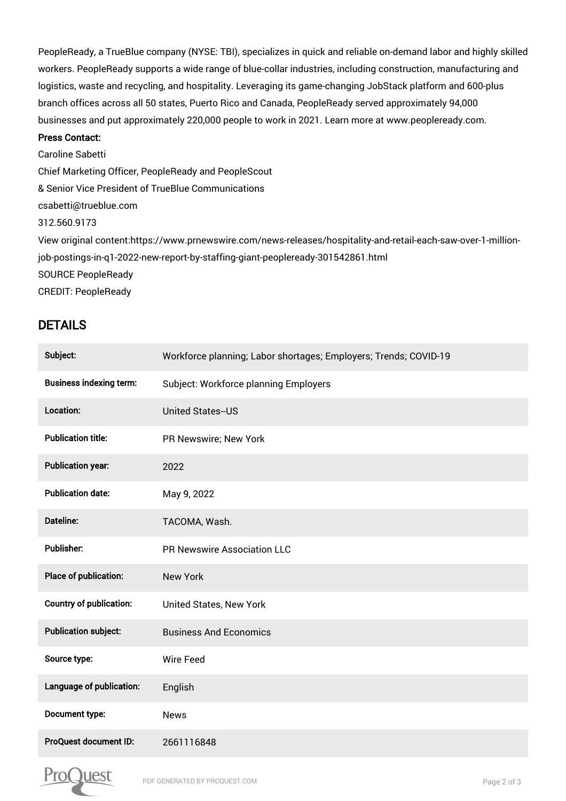PeopleReady, a TrueBlue company (NYSE: TBI), specializes in quick and reliable on-demand labor and highly skilled workers. PeopleReady supports a wide range of blue-collar industries, including construction, manufacturing and logistics, waste and recycling, and hospitality. Leveraging its game-changing JobStack platform and 600-plus branch offices across all 50 states, Puerto Rico and Canada, PeopleReady served approximately 94,000 businesses and put approximately 220,000 people to work in 2021. Learn more at www.peopleready.com.

#### Press Contact:

Caroline Sabetti Chief Marketing Officer, PeopleReady and PeopleScout & Senior Vice President of TrueBlue Communications csabetti@trueblue.com 312.560.9173 View original content:https://www.prnewswire.com/news-releases/hospitality-and-retail-each-saw-over-1-millionjob-postings-in-q1-2022-new-report-by-staffing-giant-peopleready-301542861.html SOURCE PeopleReady CREDIT: PeopleReady

### DETAILS

| Subject:                       | Workforce planning; Labor shortages; Employers; Trends; COVID-19 |
|--------------------------------|------------------------------------------------------------------|
| <b>Business indexing term:</b> | Subject: Workforce planning Employers                            |
| Location:                      | <b>United States--US</b>                                         |
| <b>Publication title:</b>      | PR Newswire; New York                                            |
| <b>Publication year:</b>       | 2022                                                             |
| <b>Publication date:</b>       | May 9, 2022                                                      |
| <b>Dateline:</b>               | TACOMA, Wash.                                                    |
| <b>Publisher:</b>              | <b>PR Newswire Association LLC</b>                               |
| Place of publication:          | <b>New York</b>                                                  |
| Country of publication:        | United States, New York                                          |
| <b>Publication subject:</b>    | <b>Business And Economics</b>                                    |
| Source type:                   | <b>Wire Feed</b>                                                 |
| Language of publication:       | English                                                          |
| Document type:                 | <b>News</b>                                                      |
| ProQuest document ID:          | 2661116848                                                       |